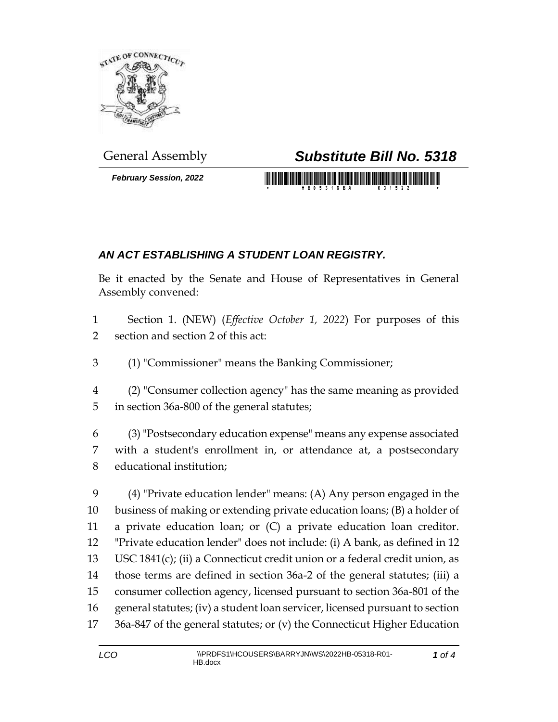

*February Session, 2022*

## General Assembly *Substitute Bill No. 5318*

<u> 1999 - Johann Maria Maria Maria Maria Maria Maria Maria Maria Maria Maria Maria Maria Maria Maria Maria Mari</u>

## *AN ACT ESTABLISHING A STUDENT LOAN REGISTRY.*

Be it enacted by the Senate and House of Representatives in General Assembly convened:

 Section 1. (NEW) (*Effective October 1, 2022*) For purposes of this section and section 2 of this act:

(1) "Commissioner" means the Banking Commissioner;

 (2) "Consumer collection agency" has the same meaning as provided in section 36a-800 of the general statutes;

 (3) "Postsecondary education expense" means any expense associated with a student's enrollment in, or attendance at, a postsecondary educational institution;

 (4) "Private education lender" means: (A) Any person engaged in the business of making or extending private education loans; (B) a holder of a private education loan; or (C) a private education loan creditor. "Private education lender" does not include: (i) A bank, as defined in 12 USC 1841(c); (ii) a Connecticut credit union or a federal credit union, as those terms are defined in section 36a-2 of the general statutes; (iii) a consumer collection agency, licensed pursuant to section 36a-801 of the general statutes; (iv) a student loan servicer, licensed pursuant to section 36a-847 of the general statutes; or (v) the Connecticut Higher Education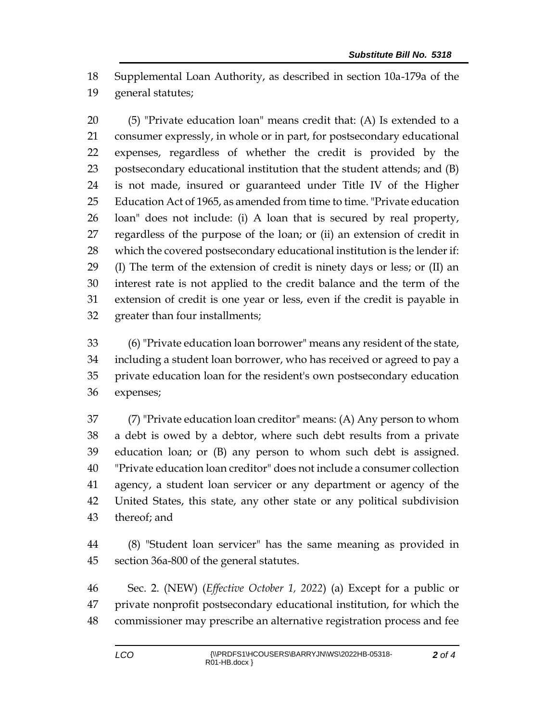Supplemental Loan Authority, as described in section 10a-179a of the general statutes;

 (5) "Private education loan" means credit that: (A) Is extended to a consumer expressly, in whole or in part, for postsecondary educational expenses, regardless of whether the credit is provided by the postsecondary educational institution that the student attends; and (B) is not made, insured or guaranteed under Title IV of the Higher Education Act of 1965, as amended from time to time. "Private education loan" does not include: (i) A loan that is secured by real property, regardless of the purpose of the loan; or (ii) an extension of credit in which the covered postsecondary educational institution is the lender if: (I) The term of the extension of credit is ninety days or less; or (II) an interest rate is not applied to the credit balance and the term of the extension of credit is one year or less, even if the credit is payable in greater than four installments;

 (6) "Private education loan borrower" means any resident of the state, including a student loan borrower, who has received or agreed to pay a private education loan for the resident's own postsecondary education expenses;

 (7) "Private education loan creditor" means: (A) Any person to whom a debt is owed by a debtor, where such debt results from a private education loan; or (B) any person to whom such debt is assigned. "Private education loan creditor" does not include a consumer collection agency, a student loan servicer or any department or agency of the United States, this state, any other state or any political subdivision thereof; and

 (8) "Student loan servicer" has the same meaning as provided in section 36a-800 of the general statutes.

 Sec. 2. (NEW) (*Effective October 1, 2022*) (a) Except for a public or private nonprofit postsecondary educational institution, for which the commissioner may prescribe an alternative registration process and fee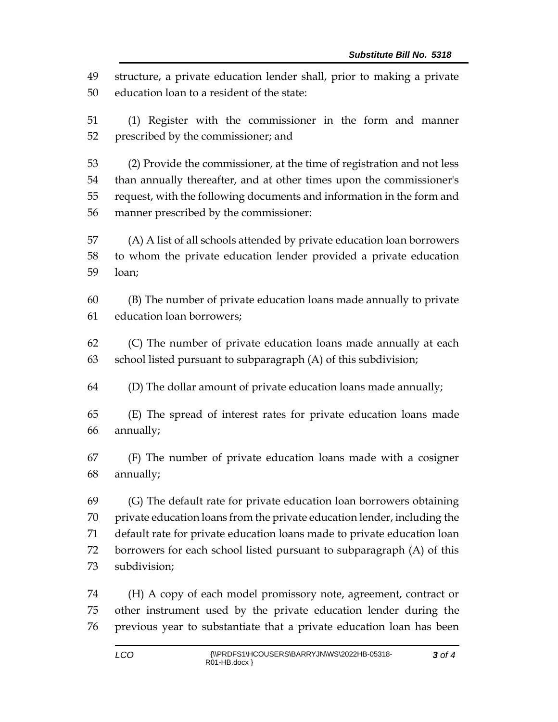structure, a private education lender shall, prior to making a private education loan to a resident of the state:

 (1) Register with the commissioner in the form and manner prescribed by the commissioner; and

 (2) Provide the commissioner, at the time of registration and not less than annually thereafter, and at other times upon the commissioner's request, with the following documents and information in the form and manner prescribed by the commissioner:

 (A) A list of all schools attended by private education loan borrowers to whom the private education lender provided a private education loan;

 (B) The number of private education loans made annually to private education loan borrowers;

 (C) The number of private education loans made annually at each school listed pursuant to subparagraph (A) of this subdivision;

(D) The dollar amount of private education loans made annually;

 (E) The spread of interest rates for private education loans made annually;

 (F) The number of private education loans made with a cosigner annually;

 (G) The default rate for private education loan borrowers obtaining private education loans from the private education lender, including the default rate for private education loans made to private education loan borrowers for each school listed pursuant to subparagraph (A) of this subdivision;

 (H) A copy of each model promissory note, agreement, contract or other instrument used by the private education lender during the previous year to substantiate that a private education loan has been